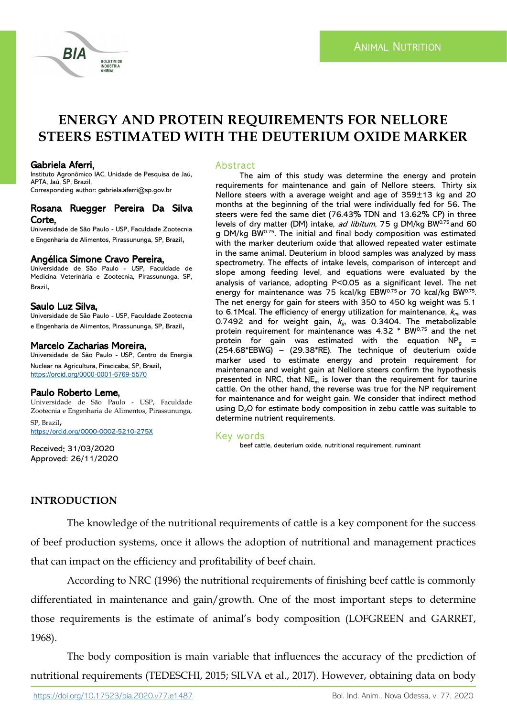

# **ENERGY AND PROTEIN REQUIREMENTS FOR NELLORE STEERS ESTIMATED WITH THE DEUTERIUM OXIDE MARKER**

## Gabriela Aferri,

Instituto Agronômico IAC, Unidade de Pesquisa de Jaú, APTA, Jaú, SP, Brazil, Corresponding author: gabriela.aferri@sp.gov.br

#### Rosana Ruegger Pereira Da Silva Corte,

Universidade de São Paulo - USP, Faculdade Zootecnia e Engenharia de Alimentos, Pirassununga, SP, Brazil,

## Angélica Simone Cravo Pereira,

Universidade de São Paulo - USP, Faculdade de Medicina Veterinária e Zootecnia, Pirassununga, SP, Brazil,

## Saulo Luz Silva,

Universidade de São Paulo - USP, Faculdade Zootecnia e Engenharia de Alimentos, Pirassununga, SP, Brazil,

## Marcelo Zacharias Moreira,

Universidade de São Paulo - USP, Centro de Energia Nuclear na Agricultura, Piracicaba, SP, Brazil, [https://orcid.org/0000](https://orcid.org/0000-0001-6769-5570)-0001-6769-5570

## Paulo Roberto Leme,

Universidade de São Paulo - USP, Faculdade Zootecnia e Engenharia de Alimentos, Pirassununga, SP, Brazil, <https://orcid.org/0000-0002-5210-275X>

Received: 31/03/2020 Approved: 26/11/2020

## **Abstract**

The aim of this study was determine the energy and protein requirements for maintenance and gain of Nellore steers. Thirty six Nellore steers with a average weight and age of 359±13 kg and 20 months at the beginning of the trial were individually fed for 56. The steers were fed the same diet (76.43% TDN and 13.62% CP) in three levels of dry matter (DM) intake, *ad libitum*, 75 g DM/kg BW<sup> $0.75$ </sup> and 60 g DM/kg BW<sup>0.75</sup>. The initial and final body composition was estimated with the marker deuterium oxide that allowed repeated water estimate in the same animal. Deuterium in blood samples was analyzed by mass spectrometry. The effects of intake levels, comparison of intercept and slope among feeding level, and equations were evaluated by the analysis of variance, adopting P<0.05 as a significant level. The net energy for maintenance was 75 kcal/kg  $EBW^{0.75}$  or 70 kcal/kg  $BW^{0.75}$ . The net energy for gain for steers with 350 to 450 kg weight was 5.1 to 6.1Mcal. The efficiency of energy utilization for maintenance,  $k_{\text{m}}$  was 0.7492 and for weight gain,  $k_{\alpha}$  was 0.3404. The metabolizable protein requirement for maintenance was 4.32 \* BW0.75 and the net protein for gain was estimated with the equation  $NP<sub>q</sub>$  = (254.68\*EBWG) – (29.38\*RE). The technique of deuterium oxide marker used to estimate energy and protein requirement for maintenance and weight gain at Nellore steers confirm the hypothesis presented in NRC, that  $NE<sub>m</sub>$  is lower than the requirement for taurine cattle. On the other hand, the reverse was true for the NP requirement for maintenance and for weight gain. We consider that indirect method using  $D_2O$  for estimate body composition in zebu cattle was suitable to determine nutrient requirements.

## Key words

beef cattle, deuterium oxide, nutritional requirement, ruminant

# **INTRODUCTION**

The knowledge of the nutritional requirements of cattle is a key component for the success of beef production systems, once it allows the adoption of nutritional and management practices that can impact on the efficiency and profitability of beef chain.

According to NRC (1996) the nutritional requirements of finishing beef cattle is commonly differentiated in maintenance and gain/growth. One of the most important steps to determine those requirements is the estimate of animal's body composition (LOFGREEN and GARRET, 1968).

The body composition is main variable that influences the accuracy of the prediction of nutritional requirements (TEDESCHI, 2015; SILVA et al., 2017). However, obtaining data on body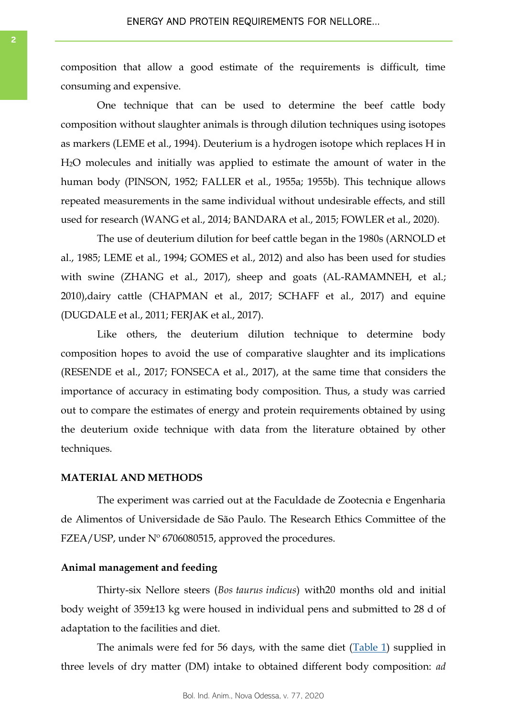composition that allow a good estimate of the requirements is difficult, time consuming and expensive.

One technique that can be used to determine the beef cattle body composition without slaughter animals is through dilution techniques using isotopes as markers (LEME et al., 1994). Deuterium is a hydrogen isotope which replaces H in H2O molecules and initially was applied to estimate the amount of water in the human body (PINSON, 1952; FALLER et al., 1955a; 1955b). This technique allows repeated measurements in the same individual without undesirable effects, and still used for research (WANG et al., 2014; BANDARA et al., 2015; FOWLER et al., 2020).

The use of deuterium dilution for beef cattle began in the 1980s (ARNOLD et al., 1985; LEME et al., 1994; GOMES et al., 2012) and also has been used for studies with swine (ZHANG et al., 2017), sheep and goats (AL-RAMAMNEH, et al.; 2010),dairy cattle (CHAPMAN et al., 2017; SCHAFF et al., 2017) and equine (DUGDALE et al., 2011; FERJAK et al., 2017).

Like others, the deuterium dilution technique to determine body composition hopes to avoid the use of comparative slaughter and its implications (RESENDE et al., 2017; FONSECA et al., 2017), at the same time that considers the importance of accuracy in estimating body composition. Thus, a study was carried out to compare the estimates of energy and protein requirements obtained by using the deuterium oxide technique with data from the literature obtained by other techniques.

#### **MATERIAL AND METHODS**

The experiment was carried out at the Faculdade de Zootecnia e Engenharia de Alimentos of Universidade de São Paulo. The Research Ethics Committee of the FZEA/USP, under Nº 6706080515, approved the procedures.

#### **Animal management and feeding**

Thirty-six Nellore steers (*Bos taurus indicus*) with20 months old and initial body weight of 359±13 kg were housed in individual pens and submitted to 28 d of adaptation to the facilities and diet.

The animals were fed for 56 days, with the same diet ([Table 1\)](#page-2-0) supplied in three levels of dry matter (DM) intake to obtained different body composition: *ad*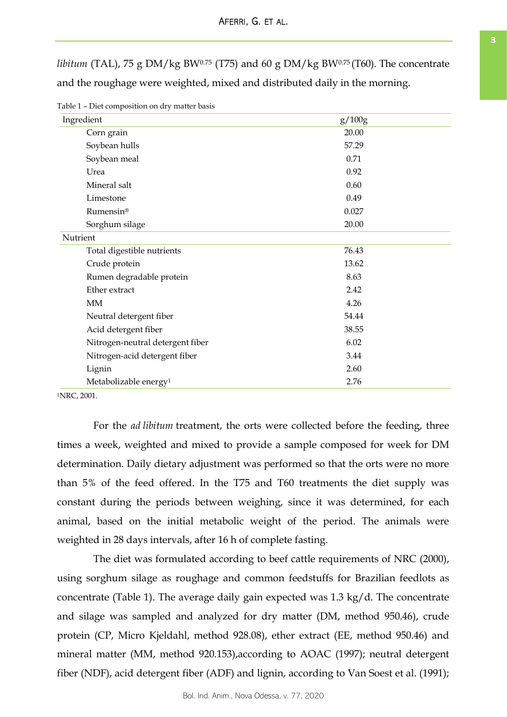<span id="page-2-0"></span>*libitum* (TAL), 75 g DM/kg BW<sup>0.75</sup> (T75) and 60 g DM/kg BW<sup>0.75</sup> (T60). The concentrate and the roughage were weighted, mixed and distributed daily in the morning.

| Ingredient                        | g/100g |
|-----------------------------------|--------|
| Corn grain                        | 20.00  |
| Soybean hulls                     | 57.29  |
| Soybean meal                      | 0.71   |
| Urea                              | 0.92   |
| Mineral salt                      | 0.60   |
| Limestone                         | 0.49   |
| Rumensin®                         | 0.027  |
| Sorghum silage                    | 20.00  |
| Nutrient                          |        |
| Total digestible nutrients        | 76.43  |
| Crude protein                     | 13.62  |
| Rumen degradable protein          | 8.63   |
| Ether extract                     | 2.42   |
| MM                                | 4.26   |
| Neutral detergent fiber           | 54.44  |
| Acid detergent fiber              | 38.55  |
| Nitrogen-neutral detergent fiber  | 6.02   |
| Nitrogen-acid detergent fiber     | 3.44   |
| Lignin                            | 2.60   |
| Metabolizable energy <sup>1</sup> | 2.76   |

Table 1 – Diet composition on dry matter basis

<sup>1</sup>NRC, 2001.

For the *ad libitum* treatment, the orts were collected before the feeding, three times a week, weighted and mixed to provide a sample composed for week for DM determination. Daily dietary adjustment was performed so that the orts were no more than 5% of the feed offered. In the T75 and T60 treatments the diet supply was constant during the periods between weighing, since it was determined, for each animal, based on the initial metabolic weight of the period. The animals were weighted in 28 days intervals, after 16 h of complete fasting.

The diet was formulated according to beef cattle requirements of NRC (2000), using sorghum silage as roughage and common feedstuffs for Brazilian feedlots as concentrate (Table 1). The average daily gain expected was 1.3 kg/d. The concentrate and silage was sampled and analyzed for dry matter (DM, method 950.46), crude protein (CP, Micro Kjeldahl, method 928.08), ether extract (EE, method 950.46) and mineral matter (MM, method 920.153),according to AOAC (1997); neutral detergent fiber (NDF), acid detergent fiber (ADF) and lignin, according to Van Soest et al. (1991);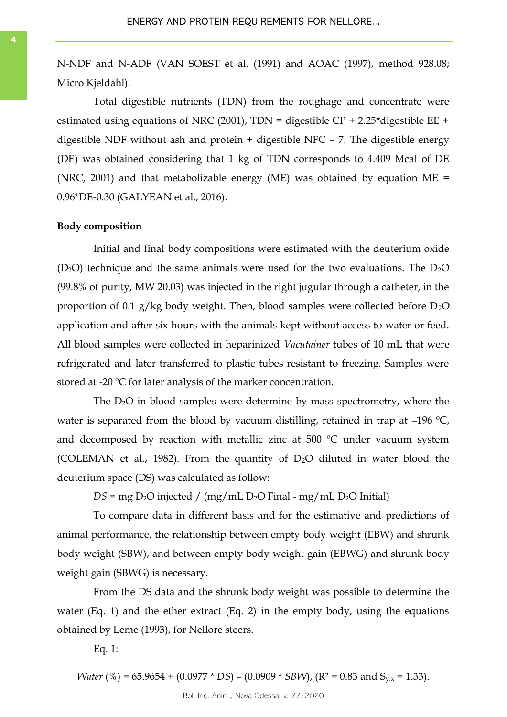N-NDF and N-ADF (VAN SOEST et al. (1991) and AOAC (1997), method 928.08; Micro Kjeldahl).

Total digestible nutrients (TDN) from the roughage and concentrate were estimated using equations of NRC (2001), TDN = digestible CP + 2.25\*digestible EE + digestible NDF without ash and protein + digestible NFC – 7. The digestible energy (DE) was obtained considering that 1 kg of TDN corresponds to 4.409 Mcal of DE (NRC, 2001) and that metabolizable energy (ME) was obtained by equation  $ME =$ 0.96\*DE-0.30 (GALYEAN et al., 2016).

#### **Body composition**

Initial and final body compositions were estimated with the deuterium oxide  $(D<sub>2</sub>O)$  technique and the same animals were used for the two evaluations. The  $D<sub>2</sub>O$ (99.8% of purity, MW 20.03) was injected in the right jugular through a catheter, in the proportion of 0.1 g/kg body weight. Then, blood samples were collected before D2O application and after six hours with the animals kept without access to water or feed. All blood samples were collected in heparinized *Vacutainer* tubes of 10 mL that were refrigerated and later transferred to plastic tubes resistant to freezing. Samples were stored at -20 ºC for later analysis of the marker concentration.

The D2O in blood samples were determine by mass spectrometry, where the water is separated from the blood by vacuum distilling, retained in trap at  $-196 \degree C$ , and decomposed by reaction with metallic zinc at 500  $^{\circ}$ C under vacuum system (COLEMAN et al., 1982). From the quantity of  $D_2O$  diluted in water blood the deuterium space (DS) was calculated as follow:

 $DS = mg D<sub>2</sub>O$  injected /  $(mg/mL D<sub>2</sub>O Final - mg/mL D<sub>2</sub>O Initial)$ 

To compare data in different basis and for the estimative and predictions of animal performance, the relationship between empty body weight (EBW) and shrunk body weight (SBW), and between empty body weight gain (EBWG) and shrunk body weight gain (SBWG) is necessary.

From the DS data and the shrunk body weight was possible to determine the water (Eq. 1) and the ether extract (Eq. 2) in the empty body, using the equations obtained by Leme (1993), for Nellore steers.

Eq. 1:

*Water* (%) = 65.9654 + (0.0977 \* *DS*) – (0.0909 \* *SBW*), (R<sup>2</sup> = 0.83 and S<sub>y,x</sub> = 1.33).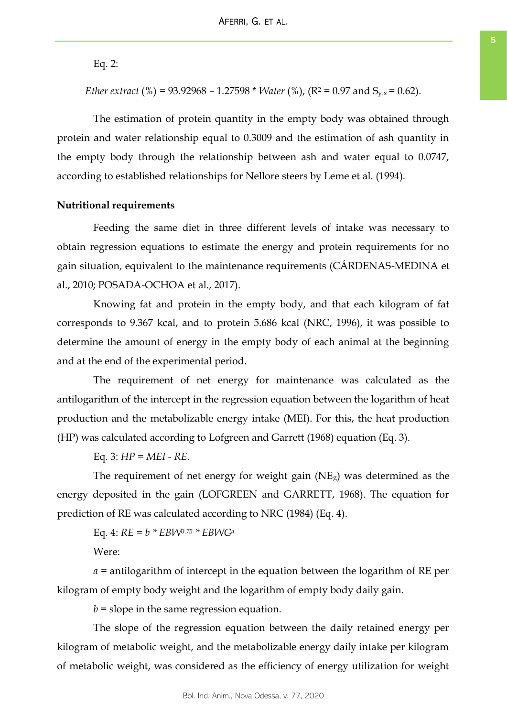Eq. 2:

*Ether extract* (%) = 93.92968 – 1.27598 \* *Water* (%), ( $R^2$  = 0.97 and  $S_{y.x}$  = 0.62).

The estimation of protein quantity in the empty body was obtained through protein and water relationship equal to 0.3009 and the estimation of ash quantity in the empty body through the relationship between ash and water equal to 0.0747, according to established relationships for Nellore steers by Leme et al. (1994).

#### **Nutritional requirements**

Feeding the same diet in three different levels of intake was necessary to obtain regression equations to estimate the energy and protein requirements for no gain situation, equivalent to the maintenance requirements (CÁRDENAS-MEDINA et al., 2010; POSADA-OCHOA et al., 2017).

Knowing fat and protein in the empty body, and that each kilogram of fat corresponds to 9.367 kcal, and to protein 5.686 kcal (NRC, 1996), it was possible to determine the amount of energy in the empty body of each animal at the beginning and at the end of the experimental period.

The requirement of net energy for maintenance was calculated as the antilogarithm of the intercept in the regression equation between the logarithm of heat production and the metabolizable energy intake (MEI). For this, the heat production (HP) was calculated according to Lofgreen and Garrett (1968) equation (Eq. 3).

Eq. 3: *HP = MEI - RE*.

The requirement of net energy for weight gain  $(NE<sub>g</sub>)$  was determined as the energy deposited in the gain (LOFGREEN and GARRETT, 1968). The equation for prediction of RE was calculated according to NRC (1984) (Eq. 4).

Eq. 4: *RE* = *b \* EBW0.75 \* EBWG<sup>a</sup>*

Were:

*a* = antilogarithm of intercept in the equation between the logarithm of RE per kilogram of empty body weight and the logarithm of empty body daily gain.

 *= slope in the same regression equation.* 

The slope of the regression equation between the daily retained energy per kilogram of metabolic weight, and the metabolizable energy daily intake per kilogram of metabolic weight, was considered as the efficiency of energy utilization for weight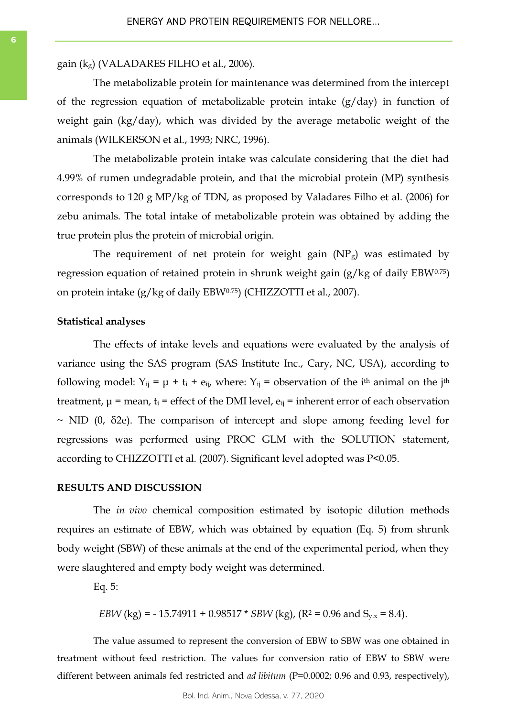gain (kg) (VALADARES FILHO et al., 2006).

The metabolizable protein for maintenance was determined from the intercept of the regression equation of metabolizable protein intake (g/day) in function of weight gain (kg/day), which was divided by the average metabolic weight of the animals (WILKERSON et al., 1993; NRC, 1996).

The metabolizable protein intake was calculate considering that the diet had 4.99% of rumen undegradable protein, and that the microbial protein (MP) synthesis corresponds to 120 g MP/kg of TDN, as proposed by Valadares Filho et al. (2006) for zebu animals. The total intake of metabolizable protein was obtained by adding the true protein plus the protein of microbial origin.

The requirement of net protein for weight gain  $(NP<sub>g</sub>)$  was estimated by regression equation of retained protein in shrunk weight gain (g/kg of daily EBW0.75) on protein intake (g/kg of daily EBW0.75) (CHIZZOTTI et al., 2007).

#### **Statistical analyses**

The effects of intake levels and equations were evaluated by the analysis of variance using the SAS program (SAS Institute Inc., Cary, NC, USA), according to following model:  $Y_{ij} = \mu + t_i + e_{ij}$ , where:  $Y_{ij} =$  observation of the i<sup>th</sup> animal on the j<sup>th</sup> treatment,  $\mu$  = mean,  $t_i$  = effect of the DMI level,  $e_{ij}$  = inherent error of each observation  $\sim$  NID (0,  $\delta$ 2e). The comparison of intercept and slope among feeding level for regressions was performed using PROC GLM with the SOLUTION statement, according to CHIZZOTTI et al. (2007). Significant level adopted was P<0.05.

#### **RESULTS AND DISCUSSION**

The *in vivo* chemical composition estimated by isotopic dilution methods requires an estimate of EBW, which was obtained by equation (Eq. 5) from shrunk body weight (SBW) of these animals at the end of the experimental period, when they were slaughtered and empty body weight was determined.

Eq. 5:

*EBW* (kg) = -15.74911 + 0.98517 \* *SBW* (kg), (R<sup>2</sup> = 0.96 and S<sub>y,x</sub> = 8.4).

The value assumed to represent the conversion of EBW to SBW was one obtained in treatment without feed restriction. The values for conversion ratio of EBW to SBW were different between animals fed restricted and *ad libitum* (P=0.0002; 0.96 and 0.93, respectively),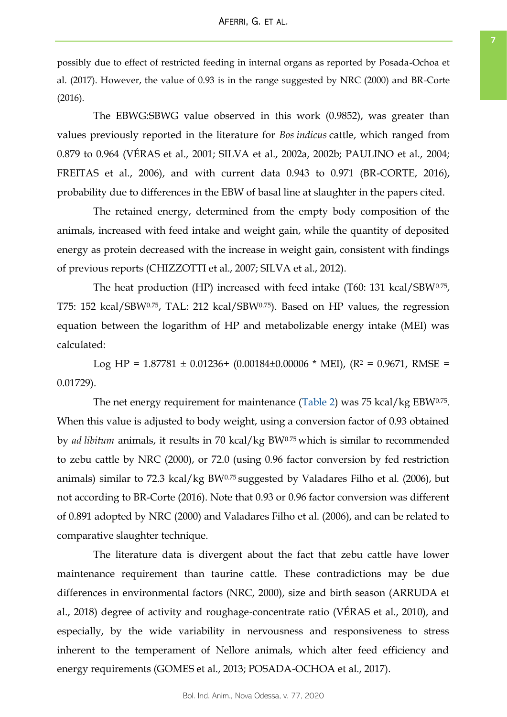possibly due to effect of restricted feeding in internal organs as reported by Posada-Ochoa et al. (2017). However, the value of 0.93 is in the range suggested by NRC (2000) and BR-Corte (2016).

The EBWG:SBWG value observed in this work (0.9852), was greater than values previously reported in the literature for *Bos indicus* cattle, which ranged from 0.879 to 0.964 (VÉRAS et al., 2001; SILVA et al., 2002a, 2002b; PAULINO et al., 2004; FREITAS et al., 2006), and with current data 0.943 to 0.971 (BR-CORTE, 2016), probability due to differences in the EBW of basal line at slaughter in the papers cited.

The retained energy, determined from the empty body composition of the animals, increased with feed intake and weight gain, while the quantity of deposited energy as protein decreased with the increase in weight gain, consistent with findings of previous reports (CHIZZOTTI et al., 2007; SILVA et al., 2012).

The heat production (HP) increased with feed intake (T60: 131 kcal/SBW0.75, T75: 152 kcal/SBW0.75, TAL: 212 kcal/SBW0.75). Based on HP values, the regression equation between the logarithm of HP and metabolizable energy intake (MEI) was calculated:

Log HP =  $1.87781 \pm 0.01236 + (0.00184 \pm 0.00006 * MEI)$ , (R<sup>2</sup> = 0.9671, RMSE = 0.01729).

The net energy requirement for maintenance ([Table 2\)](#page-7-0) was 75 kcal/kg EBW0.75. When this value is adjusted to body weight, using a conversion factor of 0.93 obtained by *ad libitum* animals, it results in 70 kcal/kg BW0.75 which is similar to recommended to zebu cattle by NRC (2000), or 72.0 (using 0.96 factor conversion by fed restriction animals) similar to 72.3 kcal/kg BW0.75 suggested by Valadares Filho et al. (2006), but not according to BR-Corte (2016). Note that 0.93 or 0.96 factor conversion was different of 0.891 adopted by NRC (2000) and Valadares Filho et al. (2006), and can be related to comparative slaughter technique.

The literature data is divergent about the fact that zebu cattle have lower maintenance requirement than taurine cattle. These contradictions may be due differences in environmental factors (NRC, 2000), size and birth season (ARRUDA et al., 2018) degree of activity and roughage-concentrate ratio (VÉRAS et al., 2010), and especially, by the wide variability in nervousness and responsiveness to stress inherent to the temperament of Nellore animals, which alter feed efficiency and energy requirements (GOMES et al., 2013; POSADA-OCHOA et al., 2017).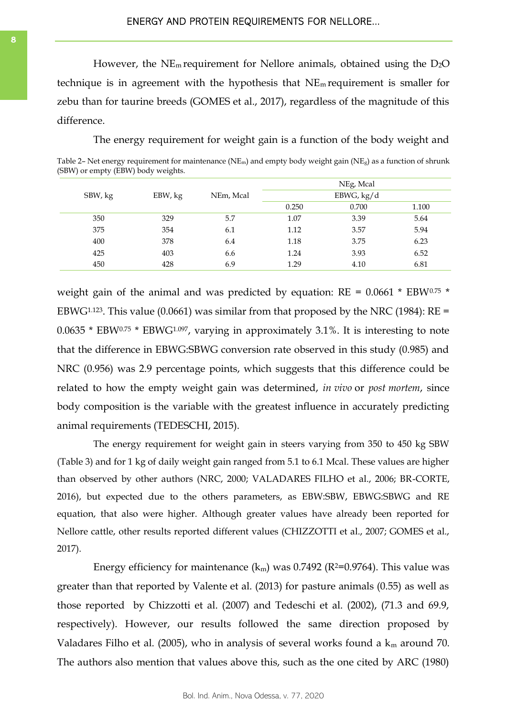<span id="page-7-0"></span>However, the  $NE_m$  requirement for Nellore animals, obtained using the  $D_2O$ technique is in agreement with the hypothesis that  $NE<sub>m</sub>$  requirement is smaller for zebu than for taurine breeds (GOMES et al., 2017), regardless of the magnitude of this difference.

The energy requirement for weight gain is a function of the body weight and

Table 2– Net energy requirement for maintenance (NE<sub>m</sub>) and empty body weight gain (NE<sub>g</sub>) as a function of shrunk (SBW) or empty (EBW) body weights.

|         |         |           | NEg, Mcal<br>EBWG, kg/d |       |       |
|---------|---------|-----------|-------------------------|-------|-------|
| SBW, kg | EBW, kg | NEm, Mcal |                         |       |       |
|         |         |           | 0.250                   | 0.700 | 1.100 |
| 350     | 329     | 5.7       | 1.07                    | 3.39  | 5.64  |
| 375     | 354     | 6.1       | 1.12                    | 3.57  | 5.94  |
| 400     | 378     | 6.4       | 1.18                    | 3.75  | 6.23  |
| 425     | 403     | 6.6       | 1.24                    | 3.93  | 6.52  |
| 450     | 428     | 6.9       | 1.29                    | 4.10  | 6.81  |

weight gain of the animal and was predicted by equation:  $RE = 0.0661 * EBW^{0.75} *$ EBWG<sup>1.123</sup>. This value (0.0661) was similar from that proposed by the NRC (1984):  $RE =$  $0.0635 * EBW<sup>0.75</sup> * EBWG<sup>1.097</sup>$ , varying in approximately 3.1%. It is interesting to note that the difference in EBWG:SBWG conversion rate observed in this study (0.985) and NRC (0.956) was 2.9 percentage points, which suggests that this difference could be related to how the empty weight gain was determined, *in vivo* or *post mortem*, since body composition is the variable with the greatest influence in accurately predicting animal requirements (TEDESCHI, 2015).

The energy requirement for weight gain in steers varying from 350 to 450 kg SBW (Table 3) and for 1 kg of daily weight gain ranged from 5.1 to 6.1 Mcal. These values are higher than observed by other authors (NRC, 2000; VALADARES FILHO et al., 2006; BR-CORTE, 2016), but expected due to the others parameters, as EBW:SBW, EBWG:SBWG and RE equation, that also were higher. Although greater values have already been reported for Nellore cattle, other results reported different values (CHIZZOTTI et al., 2007; GOMES et al., 2017).

Energy efficiency for maintenance  $(k_m)$  was 0.7492 (R<sup>2=0.9764</sup>). This value was greater than that reported by Valente et al. (2013) for pasture animals (0.55) as well as those reported by Chizzotti et al. (2007) and Tedeschi et al. (2002), (71.3 and 69.9, respectively). However, our results followed the same direction proposed by Valadares Filho et al. (2005), who in analysis of several works found a  $k_m$  around 70. The authors also mention that values above this, such as the one cited by ARC (1980)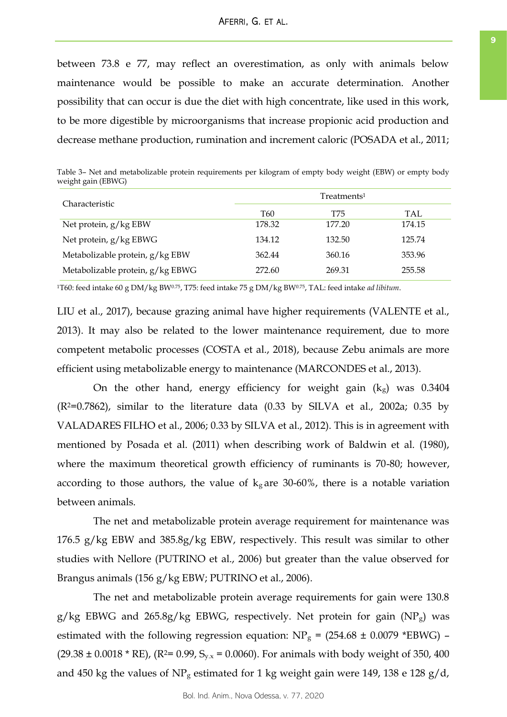between 73.8 e 77, may reflect an overestimation, as only with animals below maintenance would be possible to make an accurate determination. Another possibility that can occur is due the diet with high concentrate, like used in this work, to be more digestible by microorganisms that increase propionic acid production and decrease methane production, rumination and increment caloric (POSADA et al., 2011;

Table 3– Net and metabolizable protein requirements per kilogram of empty body weight (EBW) or empty body weight gain (EBWG)

| Characteristic                   | Treatments <sup>1</sup> |        |        |  |
|----------------------------------|-------------------------|--------|--------|--|
|                                  | T60                     | T75    | TAL.   |  |
| Net protein, g/kg EBW            | 178.32                  | 177.20 | 174.15 |  |
| Net protein, g/kg EBWG           | 134.12                  | 132.50 | 125.74 |  |
| Metabolizable protein, g/kg EBW  | 362.44                  | 360.16 | 353.96 |  |
| Metabolizable protein, g/kg EBWG | 272.60                  | 269.31 | 255.58 |  |

<sup>1</sup>T60: feed intake 60 g DM/kg BW0.75, T75: feed intake 75 g DM/kg BW0.75, TAL: feed intake *ad libitum*.

LIU et al., 2017), because grazing animal have higher requirements (VALENTE et al., 2013). It may also be related to the lower maintenance requirement, due to more competent metabolic processes (COSTA et al., 2018), because Zebu animals are more efficient using metabolizable energy to maintenance (MARCONDES et al., 2013).

On the other hand, energy efficiency for weight gain  $(k<sub>g</sub>)$  was 0.3404  $(R<sup>2</sup>=0.7862)$ , similar to the literature data  $(0.33 \text{ by SILVA et al., } 2002a; 0.35 \text{ by }$ VALADARES FILHO et al., 2006; 0.33 by SILVA et al., 2012). This is in agreement with mentioned by Posada et al. (2011) when describing work of Baldwin et al. (1980), where the maximum theoretical growth efficiency of ruminants is 70-80; however, according to those authors, the value of  $k<sub>g</sub>$  are 30-60%, there is a notable variation between animals.

The net and metabolizable protein average requirement for maintenance was 176.5 g/kg EBW and 385.8g/kg EBW, respectively. This result was similar to other studies with Nellore (PUTRINO et al., 2006) but greater than the value observed for Brangus animals (156 g/kg EBW; PUTRINO et al., 2006).

The net and metabolizable protein average requirements for gain were 130.8 g/kg EBWG and 265.8g/kg EBWG, respectively. Net protein for gain  $(NP<sub>g</sub>)$  was estimated with the following regression equation:  $NP_g = (254.68 \pm 0.0079 \text{ *EBWG})$  –  $(29.38 \pm 0.0018 * RE)$ ,  $(R<sup>2</sup>= 0.99, S<sub>y.x</sub> = 0.0060)$ . For animals with body weight of 350, 400 and 450 kg the values of  $NP<sub>g</sub>$  estimated for 1 kg weight gain were 149, 138 e 128 g/d,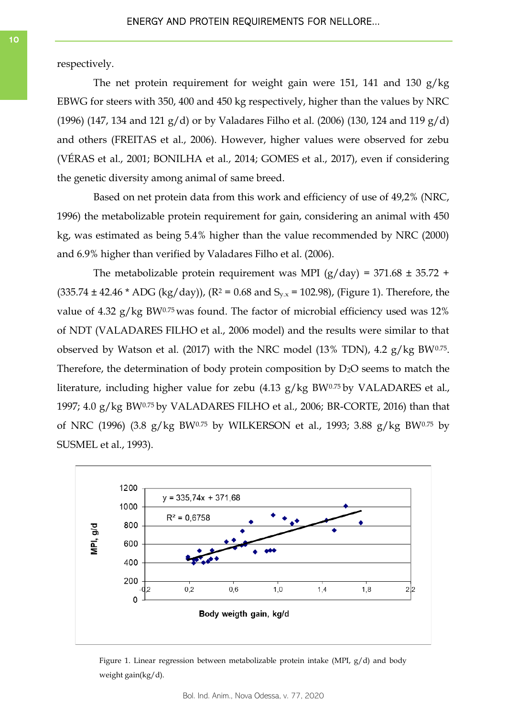respectively.

The net protein requirement for weight gain were 151, 141 and 130 g/kg EBWG for steers with 350, 400 and 450 kg respectively, higher than the values by NRC (1996) (147, 134 and 121  $g/d$ ) or by Valadares Filho et al. (2006) (130, 124 and 119  $g/d$ ) and others (FREITAS et al., 2006). However, higher values were observed for zebu (VÉRAS et al., 2001; BONILHA et al., 2014; GOMES et al., 2017), even if considering the genetic diversity among animal of same breed.

Based on net protein data from this work and efficiency of use of 49,2% (NRC, 1996) the metabolizable protein requirement for gain, considering an animal with 450 kg, was estimated as being 5.4% higher than the value recommended by NRC (2000) and 6.9% higher than verified by Valadares Filho et al. (2006).

The metabolizable protein requirement was MPI ( $g/day$ ) = 371.68  $\pm$  35.72 +  $(335.74 \pm 42.46 * ADC (kg/day))$ ,  $(R^2 = 0.68$  and  $S_{y.x} = 102.98$ ), (Figure 1). Therefore, the value of 4.32  $g/kg$  BW0.75 was found. The factor of microbial efficiency used was 12% of NDT (VALADARES FILHO et al., 2006 model) and the results were similar to that observed by Watson et al. (2017) with the NRC model (13% TDN), 4.2  $g/kg$  BW0.75. Therefore, the determination of body protein composition by  $D_2O$  seems to match the literature, including higher value for zebu (4.13 g/kg BW0.75 by VALADARES et al., 1997; 4.0 g/kg BW0.75 by VALADARES FILHO et al., 2006; BR-CORTE, 2016) than that of NRC (1996) (3.8 g/kg BW0.75 by WILKERSON et al., 1993; 3.88 g/kg BW0.75 by SUSMEL et al., 1993).



Figure 1. Linear regression between metabolizable protein intake (MPI, g/d) and body weight gain(kg/d).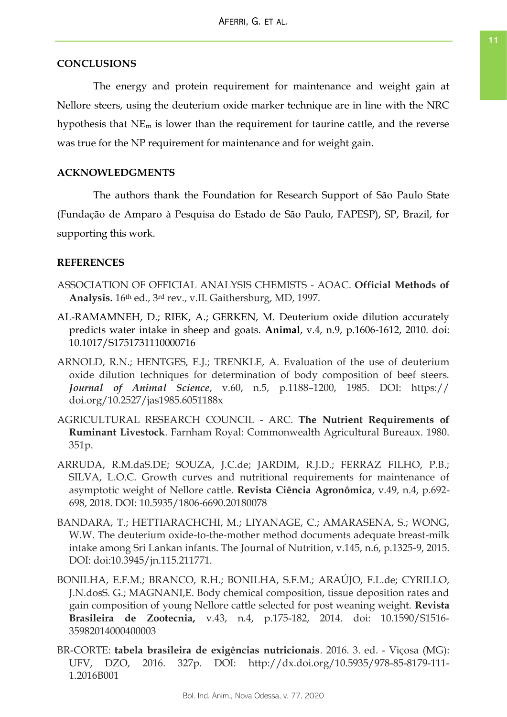## **CONCLUSIONS**

The energy and protein requirement for maintenance and weight gain at Nellore steers, using the deuterium oxide marker technique are in line with the NRC hypothesis that NE<sup>m</sup> is lower than the requirement for taurine cattle, and the reverse was true for the NP requirement for maintenance and for weight gain.

# **ACKNOWLEDGMENTS**

The authors thank the Foundation for Research Support of São Paulo State (Fundação de Amparo à Pesquisa do Estado de São Paulo, FAPESP), SP, Brazil, for supporting this work.

## **REFERENCES**

- ASSOCIATION OF OFFICIAL ANALYSIS CHEMISTS AOAC. **Official Methods of Analysis.** 16th ed., 3rd rev., v.II. Gaithersburg, MD, 1997.
- AL-RAMAMNEH, D.; RIEK, A.; GERKEN, M. Deuterium oxide dilution accurately predicts water intake in sheep and goats. **Animal**, v.4, n.9, p.1606-1612, 2010. doi: 10.1017/S1751731110000716
- ARNOLD, R.N.; HENTGES, E.J.; TRENKLE, A. Evaluation of the use of deuterium oxide dilution techniques for determination of body composition of beef steers. *Journal of Animal Science*, v.60, n.5, p.1188–1200, 1985. DOI: https:// doi.org/10.2527/jas1985.6051188x
- AGRICULTURAL RESEARCH COUNCIL ARC. **The Nutrient Requirements of Ruminant Livestock**. Farnham Royal: Commonwealth Agricultural Bureaux. 1980. 351p.
- ARRUDA, R.M.daS.DE; SOUZA, J.C.de; JARDIM, R.J.D.; FERRAZ FILHO, P.B.; SILVA, L.O.C. Growth curves and nutritional requirements for maintenance of asymptotic weight of Nellore cattle. **Revista Ciência Agronômica**, v.49, n.4, p.692- 698, 2018. DOI: 10.5935/1806-6690.20180078
- BANDARA, T.; HETTIARACHCHI, M.; LIYANAGE, C.; AMARASENA, S.; WONG, W.W. The deuterium oxide-to-the-mother method documents adequate breast-milk intake among Sri Lankan infants. The Journal of Nutrition, v.145, n.6, p.1325-9, 2015. DOI: doi:10.3945/jn.115.211771.
- BONILHA, E.F.M.; BRANCO, R.H.; BONILHA, S.F.M.; ARAÚJO, F.L.de; CYRILLO, J.N.dosS. G.; MAGNANI,E. Body chemical composition, tissue deposition rates and gain composition of young Nellore cattle selected for post weaning weight. **Revista Brasileira de Zootecnia,** v.43, n.4, p.175-182, 2014. doi: 10.1590/S1516- 35982014000400003
- BR-CORTE: **tabela brasileira de exigências nutricionais**. 2016. 3. ed. Viçosa (MG): UFV, DZO, 2016. 327p. DOI: http://dx.doi.org/10.5935/978-85-8179-111- 1.2016B001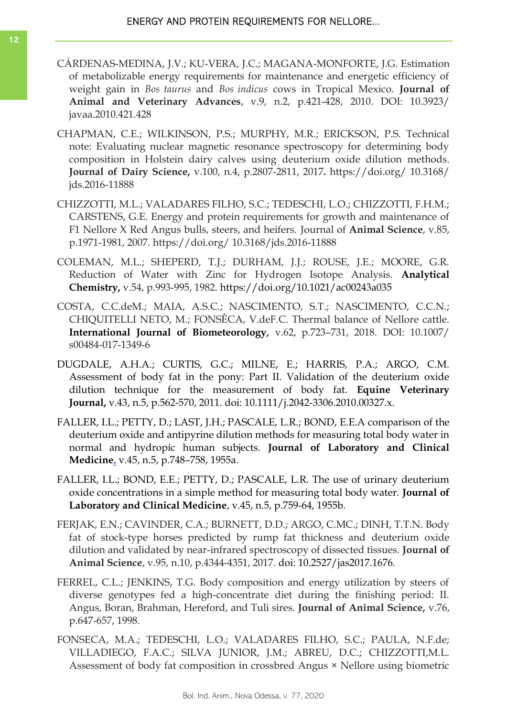- CÁRDENAS-MEDINA, J.V.; KU-VERA, J.C.; MAGANA-MONFORTE, J.G. Estimation of metabolizable energy requirements for maintenance and energetic efficiency of weight gain in *Bos taurus* and *Bos indicus* cows in Tropical Mexico. **Journal of Animal and Veterinary Advances**, v.9, n.2, p.421-428, 2010. DOI: 10.3923/ javaa.2010.421.428
- CHAPMAN, C.E.; WILKINSON, P.S.; MURPHY, M.R.; ERICKSON, P.S. Technical note: Evaluating nuclear magnetic resonance spectroscopy for determining body composition in Holstein dairy calves using deuterium oxide dilution methods. **Journal of Dairy Science,** v.100, n.4, p.2807-2811, 2017**.** https://doi.org/ 10.3168/ jds.2016-11888
- CHIZZOTTI, M.L.; VALADARES FILHO, S.C.; TEDESCHI, L.O.; CHIZZOTTI, F.H.M.; CARSTENS, G.E. Energy and protein requirements for growth and maintenance of F1 Nellore X Red Angus bulls, steers, and heifers. Journal of **Animal Science**, v.85, p.1971-1981, 2007. https://doi.org/ 10.3168/jds.2016-11888
- COLEMAN, M.L.; SHEPERD, T.J.; DURHAM, J.J.; ROUSE, J.E.; MOORE, G.R. Reduction of Water with Zinc for Hydrogen Isotope Analysis. **Analytical Chemistry,** v.54, p.993-995, 1982. https://doi.org/10.1021/ac00243a035
- COSTA, C.C.deM.; MAIA, A.S.C.; NASCIMENTO, S.T.; NASCIMENTO, C.C.N.; CHIQUITELLI NETO, M.; FONSÊCA, V.deF.C. Thermal balance of Nellore cattle. **International Journal of Biometeorology,** v.62, p.723–731, 2018. DOI: 10.1007/ s00484-017-1349-6
- DUGDALE, A.H.A.; CURTIS, G.C.; MILNE, E.; HARRIS, P.A.; ARGO, C.M. Assessment of body fat in the pony: Part II. Validation of the deuterium oxide dilution technique for the measurement of body fat. **Equine Veterinary Journal,** v.43, n.5, p.562-570, 2011. doi: 10.1111/j.2042-3306.2010.00327.x.
- FALLER, I.L.; PETTY, D.; LAST, J.H.; PASCALE, L.R.; BOND, E.E.A comparison of the deuterium oxide and antipyrine dilution methods for measuring total body water in normal and hydropic human subjects. **Journal of Laboratory and Clinical Medicine**, v.45, n.5, p.748–758, 1955a.
- FALLER, I.L.; BOND, E.E.; PETTY, D.; PASCALE, L.R. The use of urinary deuterium oxide concentrations in a simple method for measuring total body water. **Journal of Laboratory and Clinical Medicine**, v.45, n.5, p.759-64, 1955b.
- FERJAK, E.N.; CAVINDER, C.A.; BURNETT, D.D.; ARGO, C.MC.; DINH, T.T.N. Body fat of stock-type horses predicted by rump fat thickness and deuterium oxide dilution and validated by near-infrared spectroscopy of dissected tissues. **Journal of Animal Science**, v.95, n.10, p.4344-4351, 2017. doi: 10.2527/jas2017.1676.
- FERREL, C.L.; JENKINS, T.G. Body composition and energy utilization by steers of diverse genotypes fed a high-concentrate diet during the finishing period: II. Angus, Boran, Brahman, Hereford, and Tuli sires. **Journal of Animal Science,** v.76, p.647-657, 1998.
- FONSECA, M.A.; TEDESCHI, L.O.; VALADARES FILHO, S.C.; PAULA, N.F.de; VILLADIEGO, F.A.C.; SILVA JUNIOR, J.M.; ABREU, D.C.; CHIZZOTTI,M.L. Assessment of body fat composition in crossbred Angus × Nellore using biometric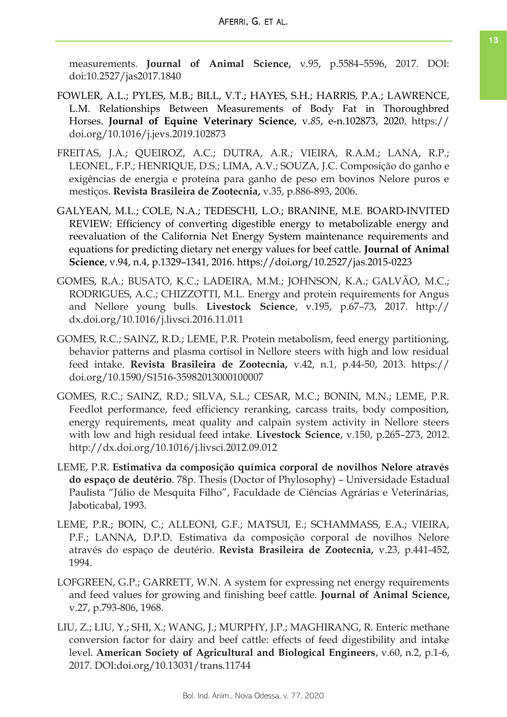measurements. **Journal of Animal Science,** v.95, p.5584–5596, 2017. DOI: doi:10.2527/jas2017.1840

- FOWLER, A.L.; PYLES, M.B.; BILL, V.T.; HAYES, S.H.; HARRIS, P.A.; LAWRENCE, L.M. Relationships Between Measurements of Body Fat in Thoroughbred Horses. **Journal of Equine Veterinary Science**, v.*85*, e-n.102873, 2020. https:// doi.org/10.1016/j.jevs.2019.102873
- FREITAS, J.A.; QUEIROZ, A.C.; DUTRA, A.R.; VIEIRA, R.A.M.; LANA, R.P.; LEONEL, F.P.; HENRIQUE, D.S.; LIMA, A.V.; SOUZA, J.C. Composição do ganho e exigências de energia e proteína para ganho de peso em bovinos Nelore puros e mestiços. **Revista Brasileira de Zootecnia,** v.35, p.886-893, 2006.
- GALYEAN, M.L.; COLE, N.A.; TEDESCHI, L.O.; BRANINE, M.E. BOARD-INVITED REVIEW: Efficiency of converting digestible energy to metabolizable energy and reevaluation of the California Net Energy System maintenance requirements and equations for predicting dietary net energy values for beef cattle. **Journal of Animal Science**, v.94, n.4, p.1329–1341, 2016. https://doi.org/10.2527/jas.2015-0223
- GOMES, R.A.; BUSATO, K.C.; LADEIRA, M.M.; JOHNSON, K.A.; GALVÃO, M.C.; RODRIGUES, A.C.; CHIZZOTTI, M.L. Energy and protein requirements for Angus and Nellore young bulls. **Livestock Science**, v.195, p.67–73, 2017. http:// dx.doi.org/10.1016/j.livsci.2016.11.011
- GOMES, R.C.; SAINZ, R.D.; LEME, P.R. Protein metabolism, feed energy partitioning, behavior patterns and plasma cortisol in Nellore steers with high and low residual feed intake. **Revista Brasileira de Zootecnia,** v.42, n.1, p.44-50, 2013. https:// doi.org/10.1590/S1516-35982013000100007
- GOMES, R.C.; SAINZ, R.D.; SILVA, S.L.; CESAR, M.C.; BONIN, M.N.; LEME, P.R. Feedlot performance, feed efficiency reranking, carcass traits, body composition, energy requirements, meat quality and calpain system activity in Nellore steers with low and high residual feed intake. **Livestock Science**, v.150, p.265–273, 2012. http://dx.doi.org/10.1016/j.livsci.2012.09.012
- LEME, P.R. **Estimativa da composição química corporal de novilhos Nelore através do espaço de deutério**. 78p. Thesis (Doctor of Phylosophy) – Universidade Estadual Paulista "Júlio de Mesquita Filho", Faculdade de Ciências Agrárias e Veterinárias, Jaboticabal, 1993.
- LEME, P.R.; BOIN, C.; ALLEONI, G.F.; MATSUI, E.; SCHAMMASS, E.A.; VIEIRA, P.F.; LANNA, D.P.D. Estimativa da composição corporal de novilhos Nelore através do espaço de deutério. **Revista Brasileira de Zootecnia,** v.23, p.441-452, 1994.
- LOFGREEN, G.P.; GARRETT, W.N. A system for expressing net energy requirements and feed values for growing and finishing beef cattle. **Journal of Animal Science,**  v.27, p.793-806, 1968.
- LIU, Z.; LIU, Y.; SHI, X.; WANG, J.; MURPHY, J.P.; MAGHIRANG, R. Enteric methane conversion factor for dairy and beef cattle: effects of feed digestibility and intake level. **American Society of Agricultural and Biological Engineers**, v.60, n.2, p.1-6, 2017. DOI:doi.org/10.13031/trans.11744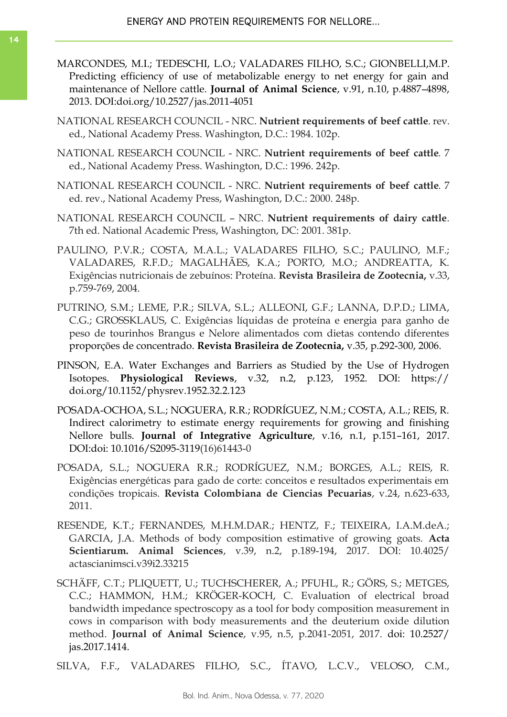- MARCONDES, M.I.; TEDESCHI, L.O.; VALADARES FILHO, S.C.; GIONBELLI,M.P. Predicting efficiency of use of metabolizable energy to net energy for gain and maintenance of Nellore cattle. **Journal of Animal Science**, v.91, n.10, p.4887–4898, 2013. DOI:doi.org/10.2527/jas.2011-4051
- NATIONAL RESEARCH COUNCIL NRC. **Nutrient requirements of beef cattle**. rev. ed., National Academy Press. Washington, D.C.: 1984. 102p.
- NATIONAL RESEARCH COUNCIL NRC. **Nutrient requirements of beef cattle**. 7 ed., National Academy Press. Washington, D.C.: 1996. 242p.
- NATIONAL RESEARCH COUNCIL NRC. **Nutrient requirements of beef cattle**. 7 ed. rev., National Academy Press, Washington, D.C.: 2000. 248p.
- NATIONAL RESEARCH COUNCIL NRC. **Nutrient requirements of dairy cattle**. 7th ed. National Academic Press, Washington, DC: 2001. 381p.
- PAULINO, P.V.R.; COSTA, M.A.L.; VALADARES FILHO, S.C.; PAULINO, M.F.; VALADARES, R.F.D.; MAGALHÃES, K.A.; PORTO, M.O.; ANDREATTA, K. Exigências nutricionais de zebuínos: Proteína. **Revista Brasileira de Zootecnia,** v.33, p.759-769, 2004.
- PUTRINO, S.M.; LEME, P.R.; SILVA, S.L.; ALLEONI, G.F.; LANNA, D.P.D.; LIMA, C.G.; GROSSKLAUS, C. Exigências líquidas de proteína e energia para ganho de peso de tourinhos Brangus e Nelore alimentados com dietas contendo diferentes proporções de concentrado. **Revista Brasileira de Zootecnia,** v.35, p.292-300, 2006.
- PINSON, E.A. Water Exchanges and Barriers as Studied by the Use of Hydrogen Isotopes. **Physiological Reviews**, v.32, n.2, p.123, 1952. DOI: https:// doi.org/10.1152/physrev.1952.32.2.123
- POSADA-OCHOA, S.L.; NOGUERA, R.R.; RODRÍGUEZ, N.M.; COSTA, A.L.; REIS, R. Indirect calorimetry to estimate energy requirements for growing and finishing Nellore bulls. **Journal of Integrative Agriculture**, v.16, n.1, p.151–161, 2017. DOI:doi: 10.1016/S2095-3119(16)61443-0
- POSADA, S.L.; NOGUERA R.R.; RODRÍGUEZ, N.M.; BORGES, A.L.; REIS, R. Exigências energéticas para gado de corte: conceitos e resultados experimentais em condições tropicais. **Revista Colombiana de Ciencias Pecuarias**, v.24, n.623-633, 2011.
- RESENDE, K.T.; FERNANDES, M.H.M.DAR.; HENTZ, F.; TEIXEIRA, I.A.M.deA.; GARCIA, J.A. Methods of body composition estimative of growing goats. **Acta Scientiarum. Animal Sciences**, v.39, n.2, p.189-194, 2017. DOI: 10.4025/ actascianimsci.v39i2.33215
- SCHÄFF, C.T.; PLIQUETT, U.; TUCHSCHERER, A.; PFUHL, R.; GÖRS, S.; METGES, C.C.; HAMMON, H.M.; KRÖGER-KOCH, C. Evaluation of electrical broad bandwidth impedance spectroscopy as a tool for body composition measurement in cows in comparison with body measurements and the deuterium oxide dilution method. **Journal of Animal Science**, v.95, n.5, p.2041-2051, 2017. doi: 10.2527/ jas.2017.1414.

SILVA, F.F., VALADARES FILHO, S.C., ÍTAVO, L.C.V., VELOSO, C.M.,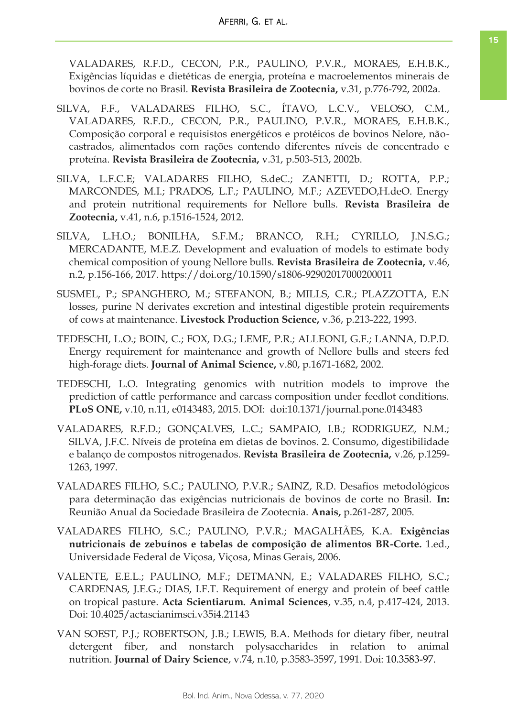VALADARES, R.F.D., CECON, P.R., PAULINO, P.V.R., MORAES, E.H.B.K., Exigências líquidas e dietéticas de energia, proteína e macroelementos minerais de bovinos de corte no Brasil. **Revista Brasileira de Zootecnia,** v.31, p.776-792, 2002a.

- SILVA, F.F., VALADARES FILHO, S.C., ÍTAVO, L.C.V., VELOSO, C.M., VALADARES, R.F.D., CECON, P.R., PAULINO, P.V.R., MORAES, E.H.B.K., Composição corporal e requisistos energéticos e protéicos de bovinos Nelore, nãocastrados, alimentados com rações contendo diferentes níveis de concentrado e proteína. **Revista Brasileira de Zootecnia,** v.31, p.503-513, 2002b.
- SILVA, L.F.C.E; VALADARES FILHO, S.deC.; ZANETTI, D.; ROTTA, P.P.; MARCONDES, M.I.; PRADOS, L.F.; PAULINO, M.F.; AZEVEDO,H.deO. Energy and protein nutritional requirements for Nellore bulls. **Revista Brasileira de Zootecnia,** v.41, n.6, p.1516-1524, 2012.
- SILVA, L.H.O.; BONILHA, S.F.M.; BRANCO, R.H.; CYRILLO, J.N.S.G.; MERCADANTE, M.E.Z. Development and evaluation of models to estimate body chemical composition of young Nellore bulls. **Revista Brasileira de Zootecnia,** v.46, n.2, p.156-166, 2017. https://doi.org/10.1590/s1806-92902017000200011
- SUSMEL, P.; SPANGHERO, M.; STEFANON, B.; MILLS, C.R.; PLAZZOTTA, E.N losses, purine N derivates excretion and intestinal digestible protein requirements of cows at maintenance. **Livestock Production Science,** v.36, p.213-222, 1993.
- TEDESCHI, L.O.; BOIN, C.; FOX, D.G.; LEME, P.R.; ALLEONI, G.F.; LANNA, D.P.D. Energy requirement for maintenance and growth of Nellore bulls and steers fed high-forage diets. **Journal of Animal Science,** v.80, p.1671-1682, 2002.
- TEDESCHI, L.O. Integrating genomics with nutrition models to improve the prediction of cattle performance and carcass composition under feedlot conditions. **PLoS ONE,** v.10, n.11, e0143483, 2015. DOI: doi:10.1371/journal.pone.0143483
- VALADARES, R.F.D.; GONÇALVES, L.C.; SAMPAIO, I.B.; RODRIGUEZ, N.M.; SILVA, J.F.C. Níveis de proteína em dietas de bovinos. 2. Consumo, digestibilidade e balanço de compostos nitrogenados. **Revista Brasileira de Zootecnia,** v.26, p.1259- 1263, 1997.
- VALADARES FILHO, S.C.; PAULINO, P.V.R.; SAINZ, R.D. Desafios metodológicos para determinação das exigências nutricionais de bovinos de corte no Brasil. **In:** Reunião Anual da Sociedade Brasileira de Zootecnia. **Anais,** p.261-287, 2005.
- VALADARES FILHO, S.C.; PAULINO, P.V.R.; MAGALHÃES, K.A. **Exigências nutricionais de zebuínos e tabelas de composição de alimentos BR-Corte.** 1.ed., Universidade Federal de Viçosa, Viçosa, Minas Gerais, 2006.
- VALENTE, E.E.L.; PAULINO, M.F.; DETMANN, E.; VALADARES FILHO, S.C.; CARDENAS, J.E.G.; DIAS, I.F.T. Requirement of energy and protein of beef cattle on tropical pasture. **Acta Scientiarum. Animal Sciences**, v.35, n.4, p.417-424, 2013. Doi: 10.4025/actascianimsci.v35i4.21143
- VAN SOEST, P.J.; ROBERTSON, J.B.; LEWIS, B.A. Methods for dietary fiber, neutral detergent fiber, and nonstarch polysaccharides in relation to animal nutrition. **Journal of Dairy Science**, v.74, n.10, p.3583-3597, 1991. Doi: 10.3583-97.